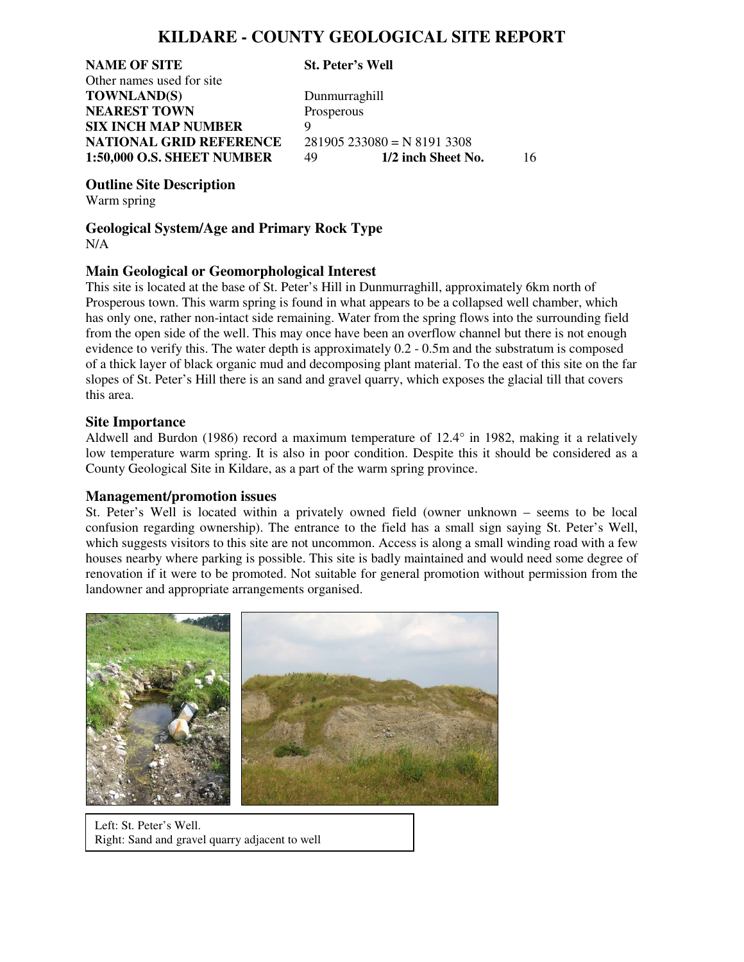## **KILDARE - COUNTY GEOLOGICAL SITE REPORT**

**NAME OF SITE St. Peter's Well** Other names used for site **TOWNLAND(S)** Dunmurraghill **NEAREST TOWN** Prosperous **SIX INCH MAP NUMBER** 9 **NATIONAL GRID REFERENCE** 281905 233080 = N 8191 3308<br>1:50,000 O.S. SHEET NUMBER 49 1/2 inch Sheet No.

**1:50,000 O.S. SHEET NUMBER** 49 **1/2 inch Sheet No.** 16

**Outline Site Description**

Warm spring

**Geological System/Age and Primary Rock Type**  N/A

### **Main Geological or Geomorphological Interest**

This site is located at the base of St. Peter's Hill in Dunmurraghill, approximately 6km north of Prosperous town. This warm spring is found in what appears to be a collapsed well chamber, which has only one, rather non-intact side remaining. Water from the spring flows into the surrounding field from the open side of the well. This may once have been an overflow channel but there is not enough evidence to verify this. The water depth is approximately 0.2 - 0.5m and the substratum is composed of a thick layer of black organic mud and decomposing plant material. To the east of this site on the far slopes of St. Peter's Hill there is an sand and gravel quarry, which exposes the glacial till that covers this area.

#### **Site Importance**

Aldwell and Burdon (1986) record a maximum temperature of 12.4° in 1982, making it a relatively low temperature warm spring. It is also in poor condition. Despite this it should be considered as a County Geological Site in Kildare, as a part of the warm spring province.

#### **Management/promotion issues**

St. Peter's Well is located within a privately owned field (owner unknown – seems to be local confusion regarding ownership). The entrance to the field has a small sign saying St. Peter's Well, which suggests visitors to this site are not uncommon. Access is along a small winding road with a few houses nearby where parking is possible. This site is badly maintained and would need some degree of renovation if it were to be promoted. Not suitable for general promotion without permission from the landowner and appropriate arrangements organised.



Left: St. Peter's Well. Right: Sand and gravel quarry adjacent to well